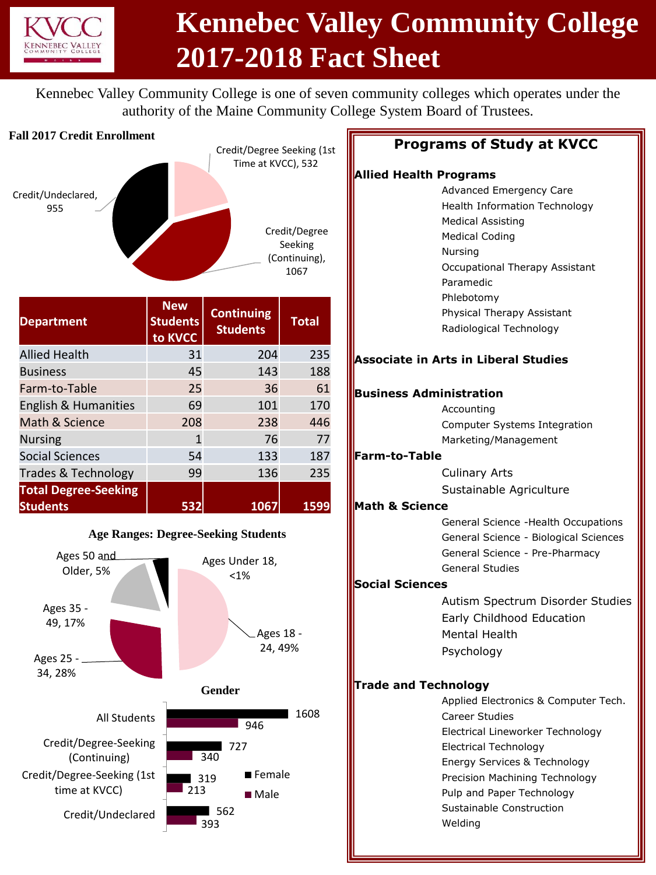

# **Kennebec Valley Community College 2017-2018 Fact Sheet**

Kennebec Valley Community College is one of seven community colleges which operates under the authority of the Maine Community College System Board of Trustees.

### **Fall 2017 Credit Enrollment**



| <b>Department</b>                              | <b>New</b><br><b>Students</b><br>to KVCC | <b>Continuing</b><br><b>Students</b> | <b>Total</b> |
|------------------------------------------------|------------------------------------------|--------------------------------------|--------------|
| <b>Allied Health</b>                           | 31                                       | 204                                  | 235          |
| <b>Business</b>                                | 45                                       | 143                                  | 188          |
| Farm-to-Table                                  | 25                                       | 36                                   | 61           |
| English & Humanities                           | 69                                       | 101                                  | 170          |
| Math & Science                                 | 208                                      | 238                                  | 446          |
| <b>Nursing</b>                                 | 1                                        | 76                                   | 77           |
| <b>Social Sciences</b>                         | 54                                       | 133                                  | 187          |
| Trades & Technology                            | 99                                       | 136                                  | 235          |
| <b>Total Degree-Seeking</b><br><b>Students</b> | 532                                      | 1067                                 | 1599         |



### **Programs of Study at KVCC**

### **Allied Health Programs**

Advanced Emergency Care Health Information Technology Medical Assisting Medical Coding Nursing Occupational Therapy Assistant Paramedic Phlebotomy Physical Therapy Assistant Radiological Technology **Associate in Arts in Liberal Studies Business Administration** Accounting Computer Systems Integration Marketing/Management **Farm-to-Table** Culinary Arts Sustainable Agriculture **Math & Science** General Science -Health Occupations General Science - Biological Sciences General Science - Pre-Pharmacy General Studies **Social Sciences** Autism Spectrum Disorder Studies Early Childhood Education Mental Health Psychology **Trade and Technology** Applied Electronics & Computer Tech. Career Studies Electrical Lineworker Technology Electrical Technology Energy Services & Technology Precision Machining Technology Pulp and Paper Technology Sustainable Construction Welding